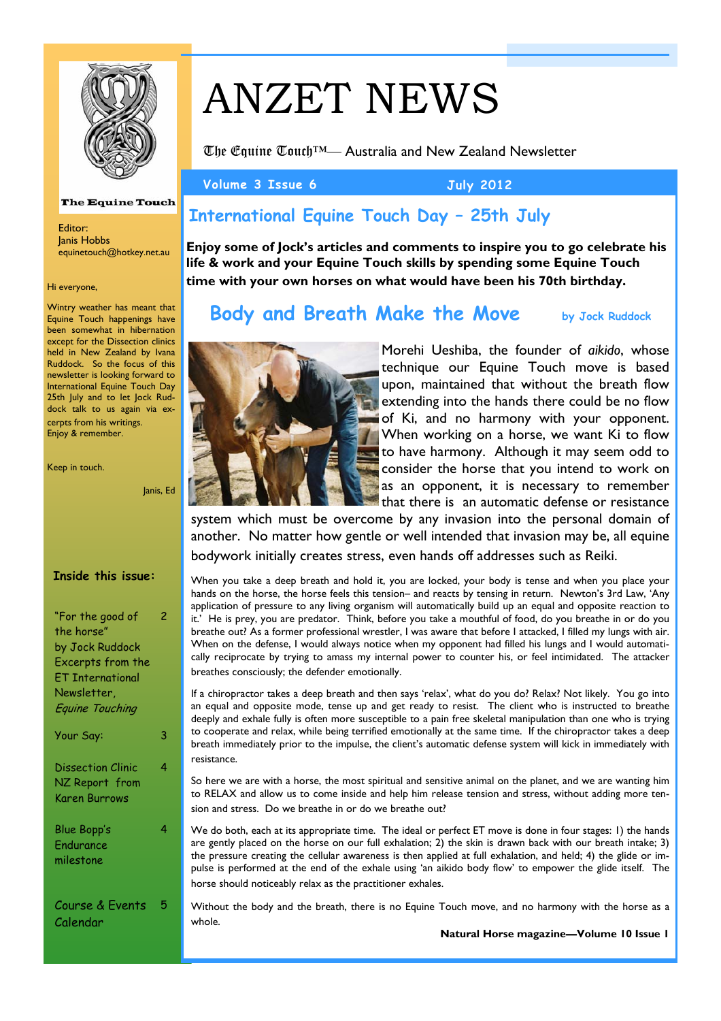

#### **The Equine Touch**

Editor: Janis Hobbs equinetouch@hotkey.net.au

#### Hi everyone,

Wintry weather has meant that Equine Touch happenings have been somewhat in hibernation except for the Dissection clinics held in New Zealand by Ivana Ruddock. So the focus of this newsletter is looking forward to International Equine Touch Day 25th July and to let Jock Ruddock talk to us again via excerpts from his writings. Enjoy & remember.

Keep in touch.

#### Janis, Ed

## **Inside this issue:**

| "For the good of<br>the horse"<br>by Jock Ruddock<br>Excerpts from the<br>ET International<br>Newsletter,<br>Equine Touching |   |
|------------------------------------------------------------------------------------------------------------------------------|---|
| Your Say:                                                                                                                    | 3 |
| <b>Dissection Clinic</b><br>NZ Report from<br>Karen Burrows                                                                  | 4 |
| <b>Blue Bopp's</b><br>Endurance<br>milestone                                                                                 | 4 |
| Course & Events<br>Calendar                                                                                                  |   |

# ANZET NEWS

The Equine Touch™— Australia and New Zealand Newsletter

Volume 3 Issue 6 July 2012

# **International Equine Touch Day – 25th July**

**Enjoy some of Jock's articles and comments to inspire you to go celebrate his life & work and your Equine Touch skills by spending some Equine Touch time with your own horses on what would have been his 70th birthday.**

# **Body and Breath Make the Move** by Jock Ruddock



Morehi Ueshiba, the founder of *aikido*, whose technique our Equine Touch move is based upon, maintained that without the breath flow extending into the hands there could be no flow of Ki, and no harmony with your opponent. When working on a horse, we want Ki to flow to have harmony. Although it may seem odd to consider the horse that you intend to work on as an opponent, it is necessary to remember that there is an automatic defense or resistance

system which must be overcome by any invasion into the personal domain of another. No matter how gentle or well intended that invasion may be, all equine bodywork initially creates stress, even hands off addresses such as Reiki.

When you take a deep breath and hold it, you are locked, your body is tense and when you place your hands on the horse, the horse feels this tension– and reacts by tensing in return. Newton's 3rd Law, 'Any application of pressure to any living organism will automatically build up an equal and opposite reaction to it.' He is prey, you are predator. Think, before you take a mouthful of food, do you breathe in or do you breathe out? As a former professional wrestler, I was aware that before I attacked, I filled my lungs with air. When on the defense, I would always notice when my opponent had filled his lungs and I would automatically reciprocate by trying to amass my internal power to counter his, or feel intimidated. The attacker breathes consciously; the defender emotionally.

If a chiropractor takes a deep breath and then says 'relax', what do you do? Relax? Not likely. You go into an equal and opposite mode, tense up and get ready to resist. The client who is instructed to breathe deeply and exhale fully is often more susceptible to a pain free skeletal manipulation than one who is trying to cooperate and relax, while being terrified emotionally at the same time. If the chiropractor takes a deep breath immediately prior to the impulse, the client's automatic defense system will kick in immediately with resistance.

So here we are with a horse, the most spiritual and sensitive animal on the planet, and we are wanting him to RELAX and allow us to come inside and help him release tension and stress, without adding more tension and stress. Do we breathe in or do we breathe out?

We do both, each at its appropriate time. The ideal or perfect ET move is done in four stages: 1) the hands are gently placed on the horse on our full exhalation; 2) the skin is drawn back with our breath intake; 3) the pressure creating the cellular awareness is then applied at full exhalation, and held; 4) the glide or impulse is performed at the end of the exhale using 'an aikido body flow' to empower the glide itself. The horse should noticeably relax as the practitioner exhales.

Without the body and the breath, there is no Equine Touch move, and no harmony with the horse as a whole.

**Natural Horse magazine—Volume 10 Issue 1**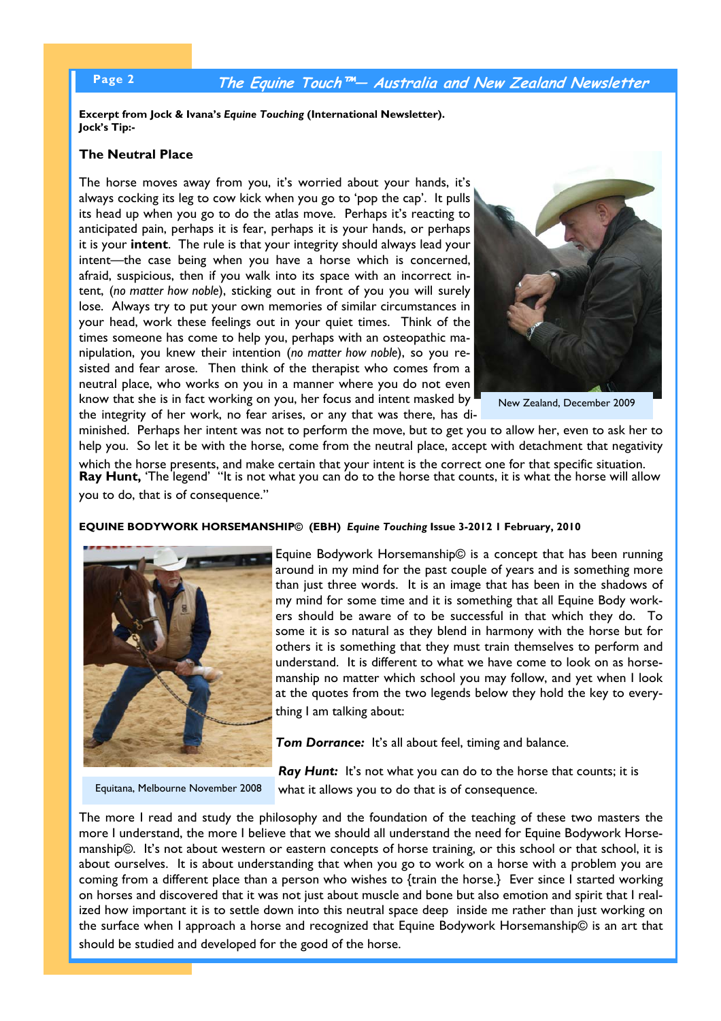# **Page 2 The Equine Touch™— Australia and New Zealand Newsletter**

**Excerpt from Jock & Ivana's** *Equine Touching* **(International Newsletter). Jock's Tip:-** 

## **The Neutral Place**

The horse moves away from you, it's worried about your hands, it's always cocking its leg to cow kick when you go to 'pop the cap'. It pulls its head up when you go to do the atlas move. Perhaps it's reacting to anticipated pain, perhaps it is fear, perhaps it is your hands, or perhaps it is your **intent**. The rule is that your integrity should always lead your intent—the case being when you have a horse which is concerned, afraid, suspicious, then if you walk into its space with an incorrect intent, (*no matter how noble*), sticking out in front of you you will surely lose. Always try to put your own memories of similar circumstances in your head, work these feelings out in your quiet times. Think of the times someone has come to help you, perhaps with an osteopathic manipulation, you knew their intention (*no matter how noble*), so you resisted and fear arose. Then think of the therapist who comes from a neutral place, who works on you in a manner where you do not even know that she is in fact working on you, her focus and intent masked by the integrity of her work, no fear arises, or any that was there, has di-



New Zealand, December 2009

minished. Perhaps her intent was not to perform the move, but to get you to allow her, even to ask her to help you. So let it be with the horse, come from the neutral place, accept with detachment that negativity

which the horse presents, and make certain that your intent is the correct one for that specific situation. **Ray Hunt,** 'The legend' "It is not what you can do to the horse that counts, it is what the horse will allow you to do, that is of consequence."

### **EQUINE BODYWORK HORSEMANSHIP© (EBH)** *Equine Touching* **Issue 3-2012 1 February, 2010**



Equine Bodywork Horsemanship© is a concept that has been running around in my mind for the past couple of years and is something more than just three words. It is an image that has been in the shadows of my mind for some time and it is something that all Equine Body workers should be aware of to be successful in that which they do. To some it is so natural as they blend in harmony with the horse but for others it is something that they must train themselves to perform and understand. It is different to what we have come to look on as horsemanship no matter which school you may follow, and yet when I look at the quotes from the two legends below they hold the key to everything I am talking about:

**Tom Dorrance:** It's all about feel, timing and balance.

Equitana, Melbourne November 2008

**Ray Hunt:** It's not what you can do to the horse that counts; it is what it allows you to do that is of consequence.

The more I read and study the philosophy and the foundation of the teaching of these two masters the more I understand, the more I believe that we should all understand the need for Equine Bodywork Horsemanship©. It's not about western or eastern concepts of horse training, or this school or that school, it is about ourselves. It is about understanding that when you go to work on a horse with a problem you are coming from a different place than a person who wishes to {train the horse.} Ever since I started working on horses and discovered that it was not just about muscle and bone but also emotion and spirit that I realized how important it is to settle down into this neutral space deep inside me rather than just working on the surface when I approach a horse and recognized that Equine Bodywork Horsemanship© is an art that should be studied and developed for the good of the horse.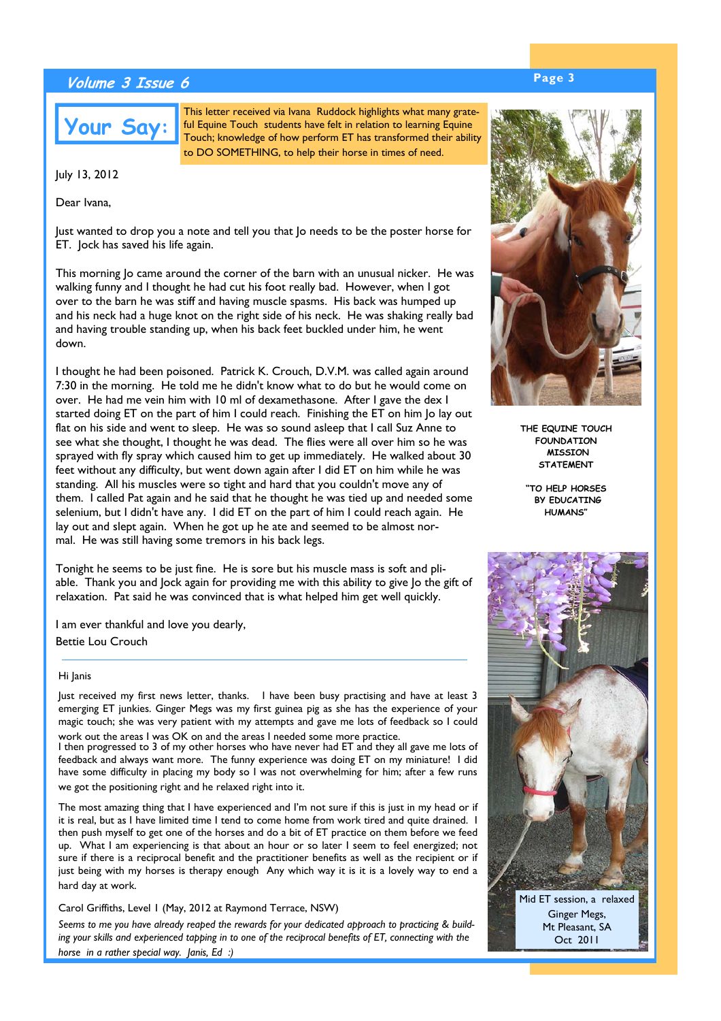# **Page 3 Volume 3 Issue 6**



This letter received via Ivana Ruddock highlights what many grateful Equine Touch students have felt in relation to learning Equine Touch; knowledge of how perform ET has transformed their ability to DO SOMETHING, to help their horse in times of need.

July 13, 2012

Dear Ivana,

Just wanted to drop you a note and tell you that Jo needs to be the poster horse for ET. Jock has saved his life again.

This morning Jo came around the corner of the barn with an unusual nicker. He was walking funny and I thought he had cut his foot really bad. However, when I got over to the barn he was stiff and having muscle spasms. His back was humped up and his neck had a huge knot on the right side of his neck. He was shaking really bad and having trouble standing up, when his back feet buckled under him, he went down.

I thought he had been poisoned. Patrick K. Crouch, D.V.M. was called again around 7:30 in the morning. He told me he didn't know what to do but he would come on over. He had me vein him with 10 ml of dexamethasone. After I gave the dex I started doing ET on the part of him I could reach. Finishing the ET on him Jo lay out flat on his side and went to sleep. He was so sound asleep that I call Suz Anne to see what she thought, I thought he was dead. The flies were all over him so he was sprayed with fly spray which caused him to get up immediately. He walked about 30 feet without any difficulty, but went down again after I did ET on him while he was standing. All his muscles were so tight and hard that you couldn't move any of them. I called Pat again and he said that he thought he was tied up and needed some selenium, but I didn't have any. I did ET on the part of him I could reach again. He lay out and slept again. When he got up he ate and seemed to be almost normal. He was still having some tremors in his back legs.

Tonight he seems to be just fine. He is sore but his muscle mass is soft and pliable. Thank you and Jock again for providing me with this ability to give Jo the gift of relaxation. Pat said he was convinced that is what helped him get well quickly.

I am ever thankful and love you dearly, Bettie Lou Crouch

#### Hi Janis

Just received my first news letter, thanks. I have been busy practising and have at least 3 emerging ET junkies. Ginger Megs was my first guinea pig as she has the experience of your magic touch; she was very patient with my attempts and gave me lots of feedback so I could work out the areas I was OK on and the areas I needed some more practice.

I then progressed to 3 of my other horses who have never had ET and they all gave me lots of feedback and always want more. The funny experience was doing ET on my miniature! I did have some difficulty in placing my body so I was not overwhelming for him; after a few runs we got the positioning right and he relaxed right into it.

The most amazing thing that I have experienced and I'm not sure if this is just in my head or if it is real, but as I have limited time I tend to come home from work tired and quite drained. I then push myself to get one of the horses and do a bit of ET practice on them before we feed up. What I am experiencing is that about an hour or so later I seem to feel energized; not sure if there is a reciprocal benefit and the practitioner benefits as well as the recipient or if just being with my horses is therapy enough Any which way it is it is a lovely way to end a hard day at work.

#### Carol Griffiths, Level 1 (May, 2012 at Raymond Terrace, NSW)

*Seems to me you have already reaped the rewards for your dedicated approach to practicing & building your skills and experienced tapping in to one of the reciprocal benefits of ET, connecting with the horse in a rather special way. Janis, Ed :)* 



**THE EQUINE TOUCH FOUNDATION MISSION STATEMENT** 

**"TO HELP HORSES BY EDUCATING HUMANS"**